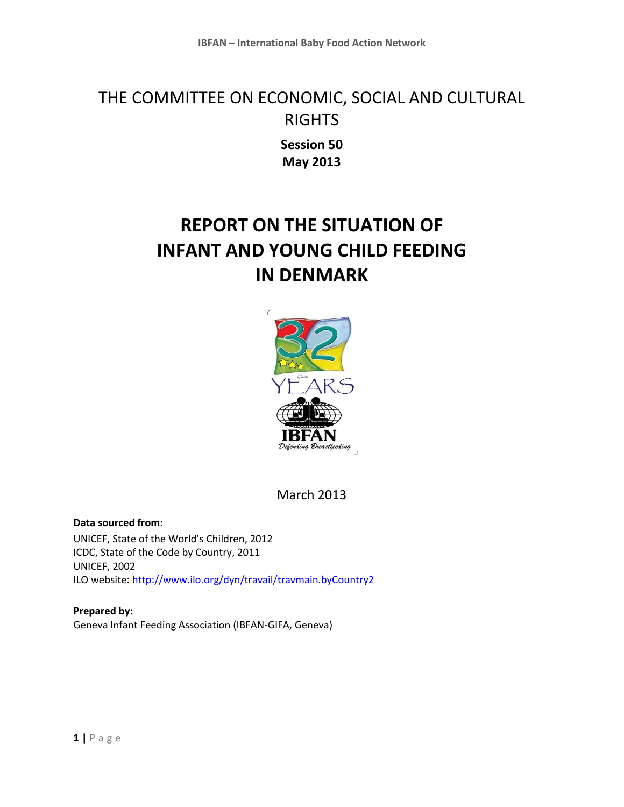# THE COMMITTEE ON ECONOMIC, SOCIAL AND CULTURAL RIGHTS

**Session 50 May 2013**

## **REPORT ON THE SITUATION OF INFANT AND YOUNG CHILD FEEDING IN DENMARK**



March 2013

**Data sourced from:** UNICEF, State of the World's Children, 2012 ICDC, State of the Code by Country, 2011 UNICEF, 2002 ILO website[: http://www.ilo.org/dyn/travail/travmain.byCountry2](http://www.ilo.org/dyn/travail/travmain.byCountry2)

**Prepared by:** Geneva Infant Feeding Association (IBFAN-GIFA, Geneva)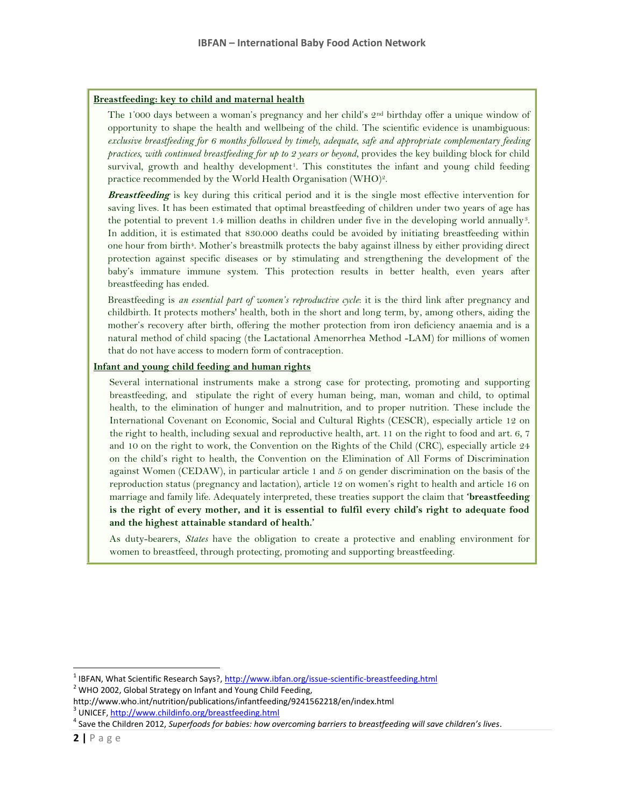#### **Breastfeeding: key to child and maternal health**

The 1'000 days between a woman's pregnancy and her child's 2<sup>nd</sup> birthday offer a unique window of opportunity to shape the health and wellbeing of the child. The scientific evidence is unambiguous: *exclusive breastfeeding for 6 months followed by timely, adequate, safe and appropriate complementary feeding practices, with continued breastfeeding for up to 2 years or beyond*, provides the key building block for child survival, growth and healthy development<sup>1</sup>. This constitutes the infant and young child feeding practice recommended by the World Health Organisation (WHO)<sup>2</sup>.

**Breastfeeding** is key during this critical period and it is the single most effective intervention for saving lives. It has been estimated that optimal breastfeeding of children under two years of age has the potential to prevent 1.4 million deaths in children under five in the developing world annually<sup>3</sup>. In addition, it is estimated that 830.000 deaths could be avoided by initiating breastfeeding within one hour from birth<sup>4</sup>. Mother's breastmilk protects the baby against illness by either providing direct protection against specific diseases or by stimulating and strengthening the development of the baby's immature immune system. This protection results in better health, even years after breastfeeding has ended.

Breastfeeding is *an essential part of women's reproductive cycle*: it is the third link after pregnancy and childbirth. It protects mothers' health, both in the short and long term, by, among others, aiding the mother's recovery after birth, offering the mother protection from iron deficiency anaemia and is a natural method of child spacing (the Lactational Amenorrhea Method -LAM) for millions of women that do not have access to modern form of contraception.

#### **Infant and young child feeding and human rights**

Several international instruments make a strong case for protecting, promoting and supporting breastfeeding, and stipulate the right of every human being, man, woman and child, to optimal health, to the elimination of hunger and malnutrition, and to proper nutrition. These include the International Covenant on Economic, Social and Cultural Rights (CESCR), especially article 12 on the right to health, including sexual and reproductive health, art. 11 on the right to food and art. 6, 7 and 10 on the right to work, the Convention on the Rights of the Child (CRC), especially article 24 on the child's right to health, the Convention on the Elimination of All Forms of Discrimination against Women (CEDAW), in particular article 1 and 5 on gender discrimination on the basis of the reproduction status (pregnancy and lactation), article 12 on women's right to health and article 16 on marriage and family life. Adequately interpreted, these treaties support the claim that **'breastfeeding is the right of every mother, and it is essential to fulfil every child's right to adequate food and the highest attainable standard of health.'**

As duty-bearers, *States* have the obligation to create a protective and enabling environment for women to breastfeed, through protecting, promoting and supporting breastfeeding.

 $\overline{\phantom{a}}$ 

<sup>&</sup>lt;sup>1</sup> IBFAN, What Scientific Research Says?, <u>http://www.ibfan.org/issue-scientific-breastfeeding.html</u>

 $2$  WHO 2002, Global Strategy on Infant and Young Child Feeding,

http://www.who.int/nutrition/publications/infantfeeding/9241562218/en/index.html

<sup>&</sup>lt;sup>3</sup> UNICEF[, http://www.childinfo.org/breastfeeding.html](http://www.childinfo.org/breastfeeding.html)

<sup>4</sup> Save the Children 2012, *Superfoods for babies: how overcoming barriers to breastfeeding will save children's lives*.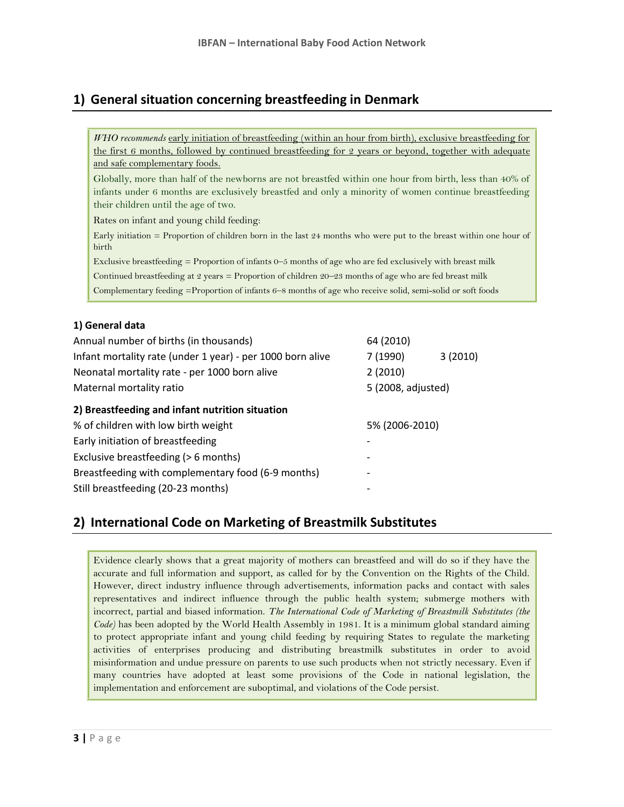## **1) General situation concerning breastfeeding in Denmark**

| WHO recommends early initiation of breastfeeding (within an hour from birth), exclusive breastfeeding for                     |  |  |
|-------------------------------------------------------------------------------------------------------------------------------|--|--|
| the first 6 months, followed by continued breastfeeding for 2 years or beyond, together with adequate                         |  |  |
| and safe complementary foods.                                                                                                 |  |  |
| Globally, more than half of the newborns are not breastfed within one hour from birth, less than 40% of                       |  |  |
| infants under 6 months are exclusively breastfed and only a minority of women continue breastfeeding                          |  |  |
| their children until the age of two.                                                                                          |  |  |
| Rates on infant and young child feeding:                                                                                      |  |  |
| Early initiation $=$ Proportion of children born in the last 24 months who were put to the breast within one hour of<br>birth |  |  |
| Exclusive breastfeeding $=$ Proportion of infants 0–5 months of age who are fed exclusively with breast milk                  |  |  |
| الله المسافر المستورة المستوردة المستوردة المسافرة المسافرة المسافرة المستورة المستورة المستورة المستورة المستورة             |  |  |

Continued breastfeeding at 2 years = Proportion of children 20–23 months of age who are fed breast milk

Complementary feeding =Proportion of infants 6–8 months of age who receive solid, semi-solid or soft foods

#### **1) General data**

| Annual number of births (in thousands)                     | 64 (2010)          |         |
|------------------------------------------------------------|--------------------|---------|
| Infant mortality rate (under 1 year) - per 1000 born alive | 7 (1990)           | 3(2010) |
| Neonatal mortality rate - per 1000 born alive              | 2(2010)            |         |
| Maternal mortality ratio                                   | 5 (2008, adjusted) |         |
| 2) Breastfeeding and infant nutrition situation            |                    |         |
| % of children with low birth weight                        | 5% (2006-2010)     |         |
| Early initiation of breastfeeding                          |                    |         |
| Exclusive breastfeeding (> 6 months)                       |                    |         |
| Breastfeeding with complementary food (6-9 months)         |                    |         |
| Still breastfeeding (20-23 months)                         |                    |         |

## **2) International Code on Marketing of Breastmilk Substitutes**

Evidence clearly shows that a great majority of mothers can breastfeed and will do so if they have the accurate and full information and support, as called for by the Convention on the Rights of the Child. However, direct industry influence through advertisements, information packs and contact with sales representatives and indirect influence through the public health system; submerge mothers with incorrect, partial and biased information. *The International Code of Marketing of Breastmilk Substitutes (the Code)* has been adopted by the World Health Assembly in 1981. It is a minimum global standard aiming to protect appropriate infant and young child feeding by requiring States to regulate the marketing activities of enterprises producing and distributing breastmilk substitutes in order to avoid misinformation and undue pressure on parents to use such products when not strictly necessary. Even if many countries have adopted at least some provisions of the Code in national legislation, the implementation and enforcement are suboptimal, and violations of the Code persist.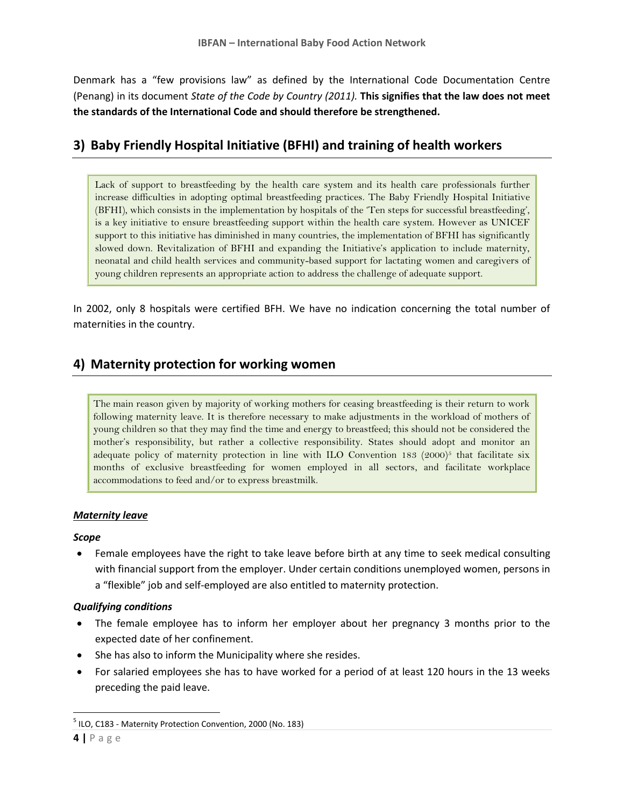Denmark has a "few provisions law" as defined by the International Code Documentation Centre (Penang) in its document *State of the Code by Country (2011).* **This signifies that the law does not meet the standards of the International Code and should therefore be strengthened.**

## **3) Baby Friendly Hospital Initiative (BFHI) and training of health workers**

Lack of support to breastfeeding by the health care system and its health care professionals further increase difficulties in adopting optimal breastfeeding practices. The Baby Friendly Hospital Initiative (BFHI), which consists in the implementation by hospitals of the 'Ten steps for successful breastfeeding', is a key initiative to ensure breastfeeding support within the health care system. However as UNICEF support to this initiative has diminished in many countries, the implementation of BFHI has significantly slowed down. Revitalization of BFHI and expanding the Initiative's application to include maternity, neonatal and child health services and community-based support for lactating women and caregivers of young children represents an appropriate action to address the challenge of adequate support.

In 2002, only 8 hospitals were certified BFH. We have no indication concerning the total number of maternities in the country.

### **4) Maternity protection for working women**

The main reason given by majority of working mothers for ceasing breastfeeding is their return to work following maternity leave. It is therefore necessary to make adjustments in the workload of mothers of young children so that they may find the time and energy to breastfeed; this should not be considered the mother's responsibility, but rather a collective responsibility. States should adopt and monitor an adequate policy of maternity protection in line with ILO Convention 183  $(2000)^5$  that facilitate six months of exclusive breastfeeding for women employed in all sectors, and facilitate workplace accommodations to feed and/or to express breastmilk.

#### *Maternity leave*

#### *Scope*

 Female employees have the right to take leave before birth at any time to seek medical consulting with financial support from the employer. Under certain conditions unemployed women, persons in a "flexible" job and self-employed are also entitled to maternity protection.

#### *Qualifying conditions*

- The female employee has to inform her employer about her pregnancy 3 months prior to the expected date of her confinement.
- She has also to inform the Municipality where she resides.
- For salaried employees she has to have worked for a period of at least 120 hours in the 13 weeks preceding the paid leave.

 $\overline{a}$ <sup>5</sup> ILO, C183 - Maternity Protection Convention, 2000 (No. 183)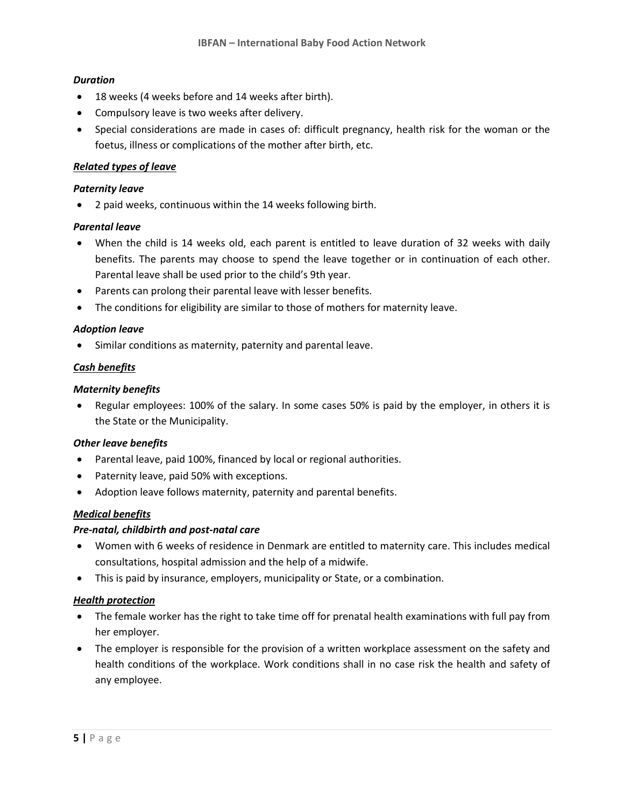#### *Duration*

- 18 weeks (4 weeks before and 14 weeks after birth).
- Compulsory leave is two weeks after delivery.
- Special considerations are made in cases of: difficult pregnancy, health risk for the woman or the foetus, illness or complications of the mother after birth, etc.

#### *Related types of leave*

#### *Paternity leave*

2 paid weeks, continuous within the 14 weeks following birth.

#### *Parental leave*

- When the child is 14 weeks old, each parent is entitled to leave duration of 32 weeks with daily benefits. The parents may choose to spend the leave together or in continuation of each other. Parental leave shall be used prior to the child's 9th year.
- Parents can prolong their parental leave with lesser benefits.
- The conditions for eligibility are similar to those of mothers for maternity leave.

#### *Adoption leave*

Similar conditions as maternity, paternity and parental leave.

#### *Cash benefits*

#### *Maternity benefits*

 Regular employees: 100% of the salary. In some cases 50% is paid by the employer, in others it is the State or the Municipality.

#### *Other leave benefits*

- Parental leave, paid 100%, financed by local or regional authorities.
- Paternity leave, paid 50% with exceptions.
- Adoption leave follows maternity, paternity and parental benefits.

#### *Medical benefits*

#### *Pre-natal, childbirth and post-natal care*

- Women with 6 weeks of residence in Denmark are entitled to maternity care. This includes medical consultations, hospital admission and the help of a midwife.
- This is paid by insurance, employers, municipality or State, or a combination.

#### *Health protection*

- The female worker has the right to take time off for prenatal health examinations with full pay from her employer.
- The employer is responsible for the provision of a written workplace assessment on the safety and health conditions of the workplace. Work conditions shall in no case risk the health and safety of any employee.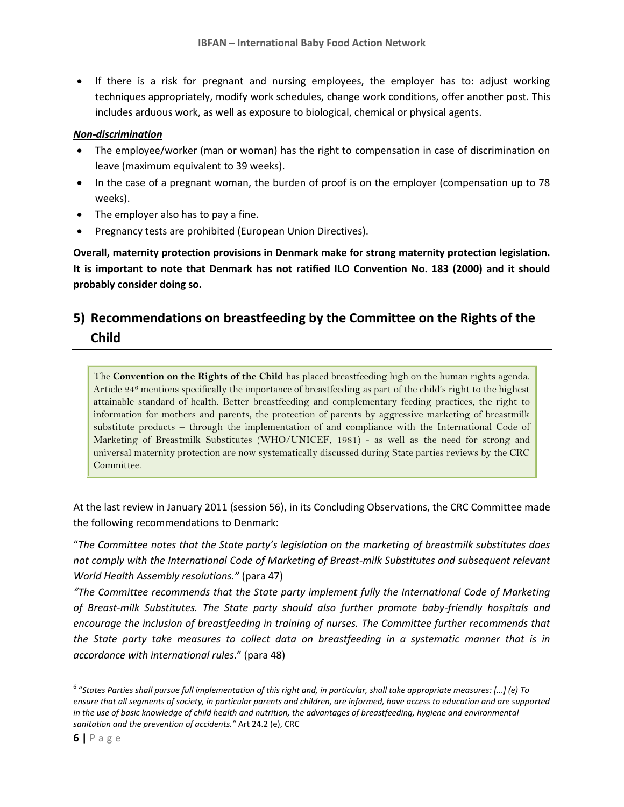• If there is a risk for pregnant and nursing employees, the employer has to: adjust working techniques appropriately, modify work schedules, change work conditions, offer another post. This includes arduous work, as well as exposure to biological, chemical or physical agents.

#### *Non-discrimination*

- The employee/worker (man or woman) has the right to compensation in case of discrimination on leave (maximum equivalent to 39 weeks).
- In the case of a pregnant woman, the burden of proof is on the employer (compensation up to 78 weeks).
- The employer also has to pay a fine.
- Pregnancy tests are prohibited (European Union Directives).

**Overall, maternity protection provisions in Denmark make for strong maternity protection legislation. It is important to note that Denmark has not ratified ILO Convention No. 183 (2000) and it should probably consider doing so.**

## **5) Recommendations on breastfeeding by the Committee on the Rights of the Child**

The **Convention on the Rights of the Child** has placed breastfeeding high on the human rights agenda. Article 24<sup>6</sup> mentions specifically the importance of breastfeeding as part of the child's right to the highest attainable standard of health. Better breastfeeding and complementary feeding practices, the right to information for mothers and parents, the protection of parents by aggressive marketing of breastmilk substitute products – through the implementation of and compliance with the International Code of Marketing of Breastmilk Substitutes (WHO/UNICEF, 1981) - as well as the need for strong and universal maternity protection are now systematically discussed during State parties reviews by the CRC Committee.

At the last review in January 2011 (session 56), in its Concluding Observations, the CRC Committee made the following recommendations to Denmark:

"*The Committee notes that the State party's legislation on the marketing of breastmilk substitutes does not comply with the International Code of Marketing of Breast-milk Substitutes and subsequent relevant World Health Assembly resolutions."* (para 47)

*"The Committee recommends that the State party implement fully the International Code of Marketing of Breast-milk Substitutes. The State party should also further promote baby-friendly hospitals and encourage the inclusion of breastfeeding in training of nurses. The Committee further recommends that the State party take measures to collect data on breastfeeding in a systematic manner that is in accordance with international rules*." (para 48)

 6 "*States Parties shall pursue full implementation of this right and, in particular, shall take appropriate measures: […] (e) To ensure that all segments of society, in particular parents and children, are informed, have access to education and are supported in the use of basic knowledge of child health and nutrition, the advantages of breastfeeding, hygiene and environmental sanitation and the prevention of accidents."* Art 24.2 (e), CRC